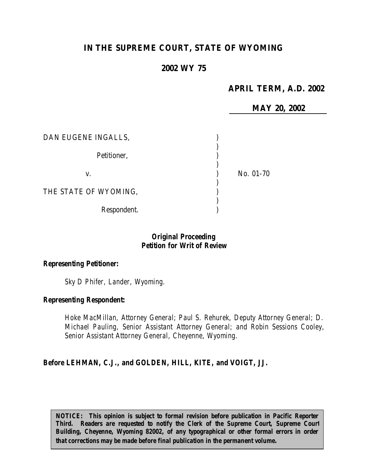# **IN THE SUPREME COURT, STATE OF WYOMING**

### **2002 WY 75**

### **APRIL TERM, A.D. 2002**

**MAY 20, 2002** DAN EUGENE INGALLS, ) Petitioner, and a set of the set of the set of the set of the set of the set of the set of the set of the set of the set of the set of the set of the set of the set of the set of the set of the set of the set of the set of ) v. 10. 01-70 ) THE STATE OF WYOMING, ) Respondent.

### *Original Proceeding Petition for Writ of Review*

#### *Representing Petitioner:*

*Sky D Phifer, Lander, Wyoming.*

#### *Representing Respondent:*

*Hoke MacMillan, Attorney General; Paul S. Rehurek, Deputy Attorney General; D. Michael Pauling, Senior Assistant Attorney General; and Robin Sessions Cooley, Senior Assistant Attorney General, Cheyenne, Wyoming.*

#### *Before LEHMAN, C.J., and GOLDEN, HILL, KITE, and VOIGT, JJ.*

*NOTICE: This opinion is subject to formal revision before publication in Pacific Reporter Third. Readers are requested to notify the Clerk of the Supreme Court, Supreme Court Building, Cheyenne, Wyoming 82002, of any typographical or other formal errors in order that corrections may be made before final publication in the permanent volume.*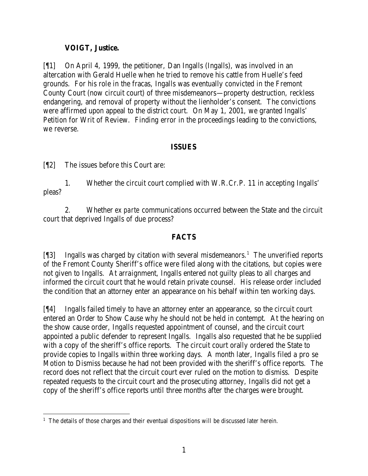### **VOIGT, Justice.**

[¶1] On April 4, 1999, the petitioner, Dan Ingalls (Ingalls), was involved in an altercation with Gerald Huelle when he tried to remove his cattle from Huelle's feed grounds. For his role in the fracas, Ingalls was eventually convicted in the Fremont County Court (now circuit court) of three misdemeanors—property destruction, reckless endangering, and removal of property without the lienholder's consent. The convictions were affirmed upon appeal to the district court. On May 1, 2001, we granted Ingalls' Petition for Writ of Review. Finding error in the proceedings leading to the convictions, we reverse.

#### **ISSUES**

[¶2] The issues before this Court are:

1. Whether the circuit court complied with W.R.Cr.P. 11 in accepting Ingalls' pleas?

2. Whether *ex parte* communications occurred between the State and the circuit court that deprived Ingalls of due process?

### **FACTS**

[¶3] Ingalls was charged by citation with several misdemeanors.<sup>1</sup> The unverified reports of the Fremont County Sheriff's office were filed along with the citations, but copies were not given to Ingalls. At arraignment, Ingalls entered not guilty pleas to all charges and informed the circuit court that he would retain private counsel. His release order included the condition that an attorney enter an appearance on his behalf within ten working days.

[¶4] Ingalls failed timely to have an attorney enter an appearance, so the circuit court entered an Order to Show Cause why he should not be held in contempt. At the hearing on the show cause order, Ingalls requested appointment of counsel, and the circuit court appointed a public defender to represent Ingalls. Ingalls also requested that he be supplied with a copy of the sheriff's office reports. The circuit court orally ordered the State to provide copies to Ingalls within three working days. A month later, Ingalls filed a pro se Motion to Dismiss because he had not been provided with the sheriff's office reports. The record does not reflect that the circuit court ever ruled on the motion to dismiss. Despite repeated requests to the circuit court and the prosecuting attorney, Ingalls did not get a copy of the sheriff's office reports until three months after the charges were brought.

 <sup>1</sup> The details of those charges and their eventual dispositions will be discussed later herein.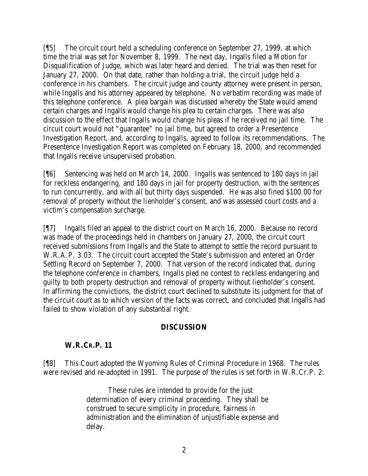[¶5] The circuit court held a scheduling conference on September 27, 1999, at which time the trial was set for November 8, 1999. The next day, Ingalls filed a Motion for Disqualification of Judge, which was later heard and denied. The trial was then reset for January 27, 2000. On that date, rather than holding a trial, the circuit judge held a conference in his chambers. The circuit judge and county attorney were present in person, while Ingalls and his attorney appeared by telephone. No verbatim recording was made of this telephone conference. A plea bargain was discussed whereby the State would amend certain charges and Ingalls would change his plea to certain charges. There was also discussion to the effect that Ingalls would change his pleas if he received no jail time. The circuit court would not "guarantee" no jail time, but agreed to order a Presentence Investigation Report, and, according to Ingalls, agreed to follow its recommendations. The Presentence Investigation Report was completed on February 18, 2000, and recommended that Ingalls receive unsupervised probation.

[¶6] Sentencing was held on March 14, 2000. Ingalls was sentenced to 180 days in jail for reckless endangering, and 180 days in jail for property destruction, with the sentences to run concurrently, and with all but thirty days suspended. He was also fined \$100.00 for removal of property without the lienholder's consent, and was assessed court costs and a victim's compensation surcharge.

[¶7] Ingalls filed an appeal to the district court on March 16, 2000. Because no record was made of the proceedings held in chambers on January 27, 2000, the circuit court received submissions from Ingalls and the State to attempt to settle the record pursuant to W.R.A.P. 3.03. The circuit court accepted the State's submission and entered an Order Settling Record on September 7, 2000. That version of the record indicated that, during the telephone conference in chambers, Ingalls pled no contest to reckless endangering and guilty to both property destruction and removal of property without lienholder's consent. In affirming the convictions, the district court declined to substitute its judgment for that of the circuit court as to which version of the facts was correct, and concluded that Ingalls had failed to show violation of any substantial right.

### **DISCUSSION**

### **W.R.CR.P. 11**

[¶8] This Court adopted the Wyoming Rules of Criminal Procedure in 1968. The rules were revised and re-adopted in 1991. The purpose of the rules is set forth in W.R.Cr.P. 2:

> These rules are intended to provide for the just determination of every criminal proceeding. They shall be construed to secure simplicity in procedure, fairness in administration and the elimination of unjustifiable expense and delay.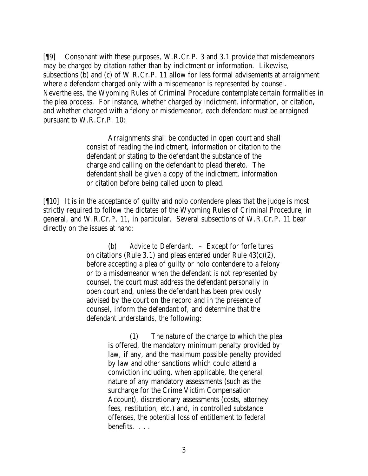[¶9] Consonant with these purposes, W.R.Cr.P. 3 and 3.1 provide that misdemeanors may be charged by citation rather than by indictment or information. Likewise, subsections (b) and (c) of W.R.Cr.P. 11 allow for less formal advisements at arraignment where a defendant charged only with a misdemeanor is represented by counsel. Nevertheless, the Wyoming Rules of Criminal Procedure contemplate certain formalities in the plea process. For instance, whether charged by indictment, information, or citation, and whether charged with a felony or misdemeanor, each defendant must be arraigned pursuant to W.R.Cr.P. 10:

> Arraignments shall be conducted in open court and shall consist of reading the indictment, information or citation to the defendant or stating to the defendant the substance of the charge and calling on the defendant to plead thereto. The defendant shall be given a copy of the indictment, information or citation before being called upon to plead.

[¶10] It is in the acceptance of guilty and nolo contendere pleas that the judge is most strictly required to follow the dictates of the Wyoming Rules of Criminal Procedure, in general, and W.R.Cr.P. 11, in particular. Several subsections of W.R.Cr.P. 11 bear directly on the issues at hand:

> (b) *Advice to Defendant*. – Except for forfeitures on citations (Rule 3.1) and pleas entered under Rule  $43(c)(2)$ , before accepting a plea of guilty or nolo contendere to a felony or to a misdemeanor when the defendant is not represented by counsel, the court must address the defendant personally in open court and, unless the defendant has been previously advised by the court on the record and in the presence of counsel, inform the defendant of, and determine that the defendant understands, the following:

> > (1) The nature of the charge to which the plea is offered, the mandatory minimum penalty provided by law, if any, and the maximum possible penalty provided by law and other sanctions which could attend a conviction including, when applicable, the general nature of any mandatory assessments (such as the surcharge for the Crime Victim Compensation Account), discretionary assessments (costs, attorney fees, restitution, etc.) and, in controlled substance offenses, the potential loss of entitlement to federal benefits. . . .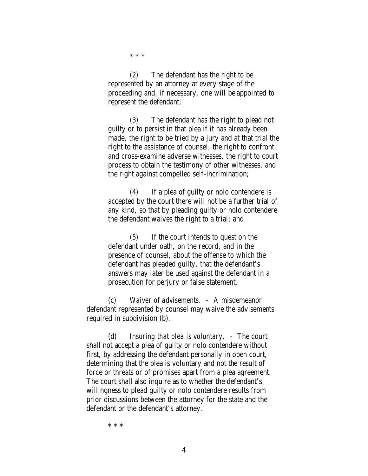\* \* \*

(2) The defendant has the right to be represented by an attorney at every stage of the proceeding and, if necessary, one will be appointed to represent the defendant;

(3) The defendant has the right to plead not guilty or to persist in that plea if it has already been made, the right to be tried by a jury and at that trial the right to the assistance of counsel, the right to confront and cross-examine adverse witnesses, the right to court process to obtain the testimony of other witnesses, and the right against compelled self-incrimination;

(4) If a plea of guilty or nolo contendere is accepted by the court there will not be a further trial of any kind, so that by pleading guilty or nolo contendere the defendant waives the right to a trial; and

(5) If the court intends to question the defendant under oath, on the record, and in the presence of counsel, about the offense to which the defendant has pleaded guilty, that the defendant's answers may later be used against the defendant in a prosecution for perjury or false statement.

(c) *Waiver of advisements*. – A misdemeanor defendant represented by counsel may waive the advisements required in subdivision (b).

(d) *Insuring that plea is voluntary*. – The court shall not accept a plea of guilty or nolo contendere without first, by addressing the defendant personally in open court, determining that the plea is voluntary and not the result of force or threats or of promises apart from a plea agreement. The court shall also inquire as to whether the defendant's willingness to plead guilty or nolo contendere results from prior discussions between the attorney for the state and the defendant or the defendant's attorney.

\* \* \*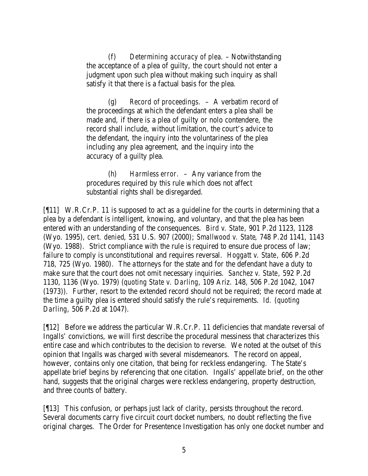(f) *Determining accuracy of plea*. – Notwithstanding the acceptance of a plea of guilty, the court should not enter a judgment upon such plea without making such inquiry as shall satisfy it that there is a factual basis for the plea.

(g) *Record of proceedings*. – A verbatim record of the proceedings at which the defendant enters a plea shall be made and, if there is a plea of guilty or nolo contendere, the record shall include, without limitation, the court's advice to the defendant, the inquiry into the voluntariness of the plea including any plea agreement, and the inquiry into the accuracy of a guilty plea.

(h) *Harmless error*. – Any variance from the procedures required by this rule which does not affect substantial rights shall be disregarded.

[¶11] W.R.Cr.P. 11 is supposed to act as a guideline for the courts in determining that a plea by a defendant is intelligent, knowing, and voluntary, and that the plea has been entered with an understanding of the consequences. *Bird v. State*, 901 P.2d 1123, 1128 (Wyo. 1995), *cert. denied*, 531 U.S. 907 (2000); *Smallwood v. State*, 748 P.2d 1141, 1143 (Wyo. 1988). Strict compliance with the rule is required to ensure due process of law; failure to comply is unconstitutional and requires reversal. *Hoggatt v. State*, 606 P.2d 718, 725 (Wyo. 1980). The attorneys for the state and for the defendant have a duty to make sure that the court does not omit necessary inquiries. *Sanchez v. State*, 592 P.2d 1130, 1136 (Wyo. 1979) (*quoting State v. Darling*, 109 Ariz. 148, 506 P.2d 1042, 1047 (1973)). Further, resort to the extended record should not be required; the record made at the time a guilty plea is entered should satisfy the rule's requirements. *Id.* (*quoting Darling*, 506 P.2d at 1047).

[¶12] Before we address the particular W.R.Cr.P. 11 deficiencies that mandate reversal of Ingalls' convictions, we will first describe the procedural messiness that characterizes this entire case and which contributes to the decision to reverse. We noted at the outset of this opinion that Ingalls was charged with several misdemeanors. The record on appeal, however, contains only one citation, that being for reckless endangering. The State's appellate brief begins by referencing that one citation. Ingalls' appellate brief, on the other hand, suggests that the original charges were reckless endangering, property destruction, and three counts of battery.

[¶13] This confusion, or perhaps just lack of clarity, persists throughout the record. Several documents carry five circuit court docket numbers, no doubt reflecting the five original charges. The Order for Presentence Investigation has only one docket number and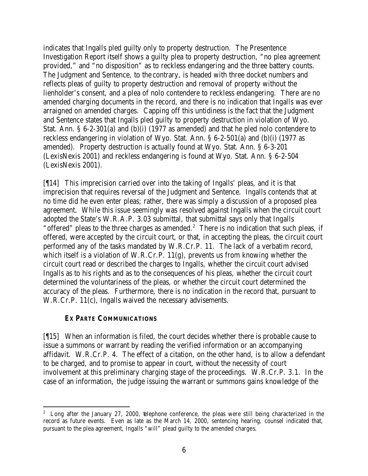indicates that Ingalls pled guilty only to property destruction. The Presentence Investigation Report itself shows a guilty plea to property destruction, "no plea agreement provided," and "no disposition" as to reckless endangering and the three battery counts. The Judgment and Sentence, to the contrary, is headed with three docket numbers and reflects pleas of guilty to property destruction and removal of property without the lienholder's consent, and a plea of nolo contendere to reckless endangering. There are no amended charging documents in the record, and there is no indication that Ingalls was ever arraigned on amended charges. Capping off this untidiness is the fact that the Judgment and Sentence states that Ingalls pled guilty to property destruction in violation of Wyo. Stat. Ann. § 6-2-301(a) and (b)(i) (1977 as amended) and that he pled nolo contendere to reckless endangering in violation of Wyo. Stat. Ann. § 6-2-501(a) and (b)(i) (1977 as amended). Property destruction is actually found at Wyo. Stat. Ann. § 6-3-201 (LexisNexis 2001) and reckless endangering is found at Wyo. Stat. Ann. § 6-2-504 (LexisNexis 2001).

[¶14] This imprecision carried over into the taking of Ingalls' pleas, and it is that imprecision that requires reversal of the Judgment and Sentence. Ingalls contends that at no time did he even enter pleas; rather, there was simply a discussion of a proposed plea agreement. While this issue seemingly was resolved against Ingalls when the circuit court adopted the State's W.R.A.P. 3.03 submittal, that submittal says only that Ingalls "offered" pleas to the three charges as amended.<sup>2</sup> There is no indication that such pleas, if offered, were accepted by the circuit court, or that, in accepting the pleas, the circuit court performed any of the tasks mandated by W.R.Cr.P. 11. The lack of a verbatim record, which itself is a violation of W.R.Cr.P. 11(g), prevents us from knowing whether the circuit court read or described the charges to Ingalls, whether the circuit court advised Ingalls as to his rights and as to the consequences of his pleas, whether the circuit court determined the voluntariness of the pleas, or whether the circuit court determined the accuracy of the pleas. Furthermore, there is no indication in the record that, pursuant to W.R.Cr.P. 11(c), Ingalls waived the necessary advisements.

#### *EX PARTE* **COMMUNICATIONS**

[¶15] When an information is filed, the court decides whether there is probable cause to issue a summons or warrant by reading the verified information or an accompanying affidavit. W.R.Cr.P. 4. The effect of a citation, on the other hand, is to allow a defendant to be charged, and to promise to appear in court, without the necessity of court involvement at this preliminary charging stage of the proceedings. W.R.Cr.P. 3.1. In the case of an information, the judge issuing the warrant or summons gains knowledge of the

 $2^2$  Long after the January 27, 2000, telephone conference, the pleas were still being characterized in the record as future events. Even as late as the March 14, 2000, sentencing hearing, counsel indicated that, pursuant to the plea agreement, Ingalls "will" plead guilty to the amended charges.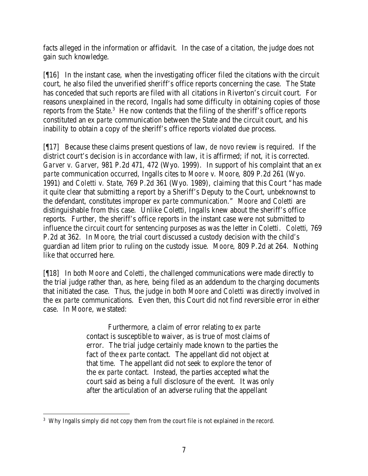facts alleged in the information or affidavit. In the case of a citation, the judge does not gain such knowledge.

[¶16] In the instant case, when the investigating officer filed the citations with the circuit court, he also filed the unverified sheriff's office reports concerning the case. The State has conceded that such reports are filed with all citations in Riverton's circuit court. For reasons unexplained in the record, Ingalls had some difficulty in obtaining copies of those reports from the State. $3$  He now contends that the filing of the sheriff's office reports constituted an *ex parte* communication between the State and the circuit court, and his inability to obtain a copy of the sheriff's office reports violated due process.

[¶17] Because these claims present questions of law, *de novo* review is required. If the district court's decision is in accordance with law, it is affirmed; if not, it is corrected. *Garver v. Garver*, 981 P.2d 471, 472 (Wyo. 1999). In support of his complaint that an *ex parte* communication occurred, Ingalls cites to *Moore v. Moore*, 809 P.2d 261 (Wyo. 1991) and *Coletti v. State*, 769 P.2d 361 (Wyo. 1989), claiming that this Court "has made it quite clear that submitting a report by a Sheriff's Deputy to the Court, unbeknownst to the defendant, constitutes improper *ex parte* communication." *Moore* and *Coletti* are distinguishable from this case. Unlike Coletti, Ingalls knew about the sheriff's office reports. Further, the sheriff's office reports in the instant case were not submitted to influence the circuit court for sentencing purposes as was the letter in *Coletti*. *Coletti*, 769 P.2d at 362. In *Moore*, the trial court discussed a custody decision with the child's guardian ad litem prior to ruling on the custody issue. *Moore*, 809 P.2d at 264. Nothing like that occurred here.

[¶18] In both *Moore* and *Coletti*, the challenged communications were made directly to the trial judge rather than, as here, being filed as an addendum to the charging documents that initiated the case. Thus, the judge in both *Moore* and *Coletti* was directly involved in the *ex parte* communications. Even then, this Court did not find reversible error in either case. In *Moore*, we stated:

> Furthermore, a claim of error relating to *ex parte* contact is susceptible to waiver, as is true of most claims of error. The trial judge certainly made known to the parties the fact of the *ex parte* contact. The appellant did not object at that time. The appellant did not seek to explore the tenor of the *ex parte* contact. Instead, the parties accepted what the court said as being a full disclosure of the event. It was only after the articulation of an adverse ruling that the appellant

 <sup>3</sup> Why Ingalls simply did not copy them from the court file is not explained in the record.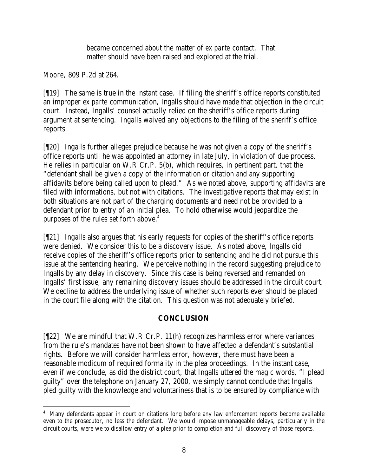became concerned about the matter of *ex parte* contact. That matter should have been raised and explored at the trial.

*Moore*, 809 P.2d at 264.

[¶19] The same is true in the instant case. If filing the sheriff's office reports constituted an improper *ex parte* communication, Ingalls should have made that objection in the circuit court. Instead, Ingalls' counsel actually relied on the sheriff's office reports during argument at sentencing. Ingalls waived any objections to the filing of the sheriff's office reports.

[¶20] Ingalls further alleges prejudice because he was not given a copy of the sheriff's office reports until he was appointed an attorney in late July, in violation of due process. He relies in particular on W.R.Cr.P. 5(b), which requires, in pertinent part, that the "defendant shall be given a copy of the information or citation and any supporting affidavits before being called upon to plead." As we noted above, supporting affidavits are filed with informations, but not with citations. The investigative reports that may exist in both situations are not part of the charging documents and need not be provided to a defendant prior to entry of an initial plea. To hold otherwise would jeopardize the purposes of the rules set forth above.<sup>4</sup>

[¶21] Ingalls also argues that his early requests for copies of the sheriff's office reports were denied. We consider this to be a discovery issue. As noted above, Ingalls did receive copies of the sheriff's office reports prior to sentencing and he did not pursue this issue at the sentencing hearing. We perceive nothing in the record suggesting prejudice to Ingalls by any delay in discovery. Since this case is being reversed and remanded on Ingalls' first issue, any remaining discovery issues should be addressed in the circuit court. We decline to address the underlying issue of whether such reports ever should be placed in the court file along with the citation. This question was not adequately briefed.

## **CONCLUSION**

[¶22] We are mindful that W.R.Cr.P. 11(h) recognizes harmless error where variances from the rule's mandates have not been shown to have affected a defendant's substantial rights. Before we will consider harmless error, however, there must have been a reasonable modicum of required formality in the plea proceedings. In the instant case, even if we conclude, as did the district court, that Ingalls uttered the magic words, "I plead guilty" over the telephone on January 27, 2000, we simply cannot conclude that Ingalls pled guilty with the knowledge and voluntariness that is to be ensured by compliance with

 <sup>4</sup> Many defendants appear in court on citations long before any law enforcement reports become available even to the prosecutor, no less the defendant. We would impose unmanageable delays, particularly in the circuit courts, were we to disallow entry of a plea prior to completion and full discovery of those reports.